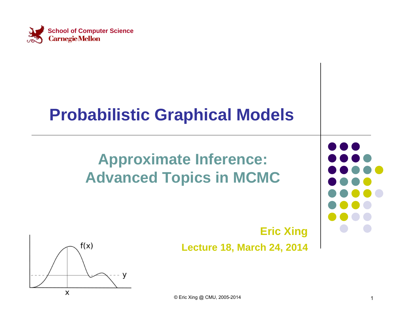

#### **Probabilistic Graphical Models**

#### **Approximate Inference: Advanced Topics in MCMC**

#### **Eric Xing Lecture 18, March 24, 2014**



© Eric Xing @ CMU, 2005-2014 1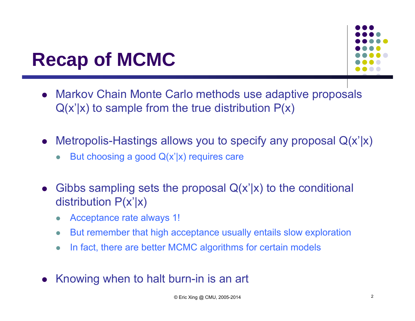

#### **Recap of MCMC**

- Markov Chain Monte Carlo methods use adaptive proposals  $Q(x'|x)$  to sample from the true distribution  $P(x)$
- $\bullet$  Metropolis-Hastings allows you to specify any proposal Q(x'|x)
	- $\bullet$ But choosing a good  $Q(x'|x)$  requires care
- $\bullet$  Gibbs sampling sets the proposal Q(x'|x) to the conditional distribution  $P(x'|x)$ 
	- $\bullet$ Acceptance rate always 1!
	- $\bullet$ But remember that high acceptance usually entails slow exploration
	- $\bullet$ In fact, there are better MCMC algorithms for certain models
- Knowing when to halt burn-in is an art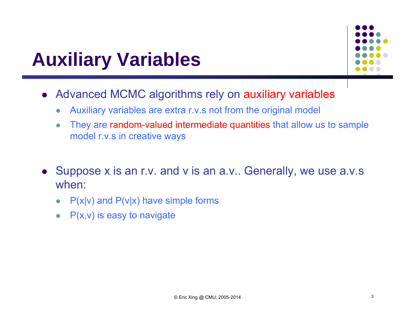#### **Auxiliary Variables**



- Advanced MCMC algorithms rely on auxiliary variables
	- $\bullet$ Auxiliary variables are extra r.v.s not from the original model
	- $\bullet$  They are random-valued intermediate quantities that allow us to sample model r.v.s in creative ways
- Suppose x is an r.v. and v is an a.v.. Generally, we use a.v.s when:
	- $\bullet$  $P(x|v)$  and  $P(v|x)$  have simple forms
	- $\bullet$ P(x,v) is easy to navigate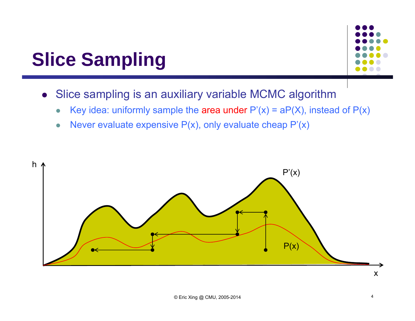

- Slice sampling is an auxiliary variable MCMC algorithm
	- $\bullet$ Key idea: uniformly sample the area under  $P'(x) = aP(X)$ , instead of  $P(x)$
	- $\bullet$ Never evaluate expensive  $P(x)$ , only evaluate cheap  $P'(x)$

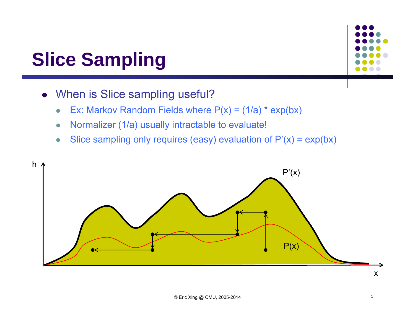- When is Slice sampling useful?
	- $\bullet$ Ex: Markov Random Fields where  $P(x) = (1/a) * exp(bx)$
	- $\bullet$ Normalizer (1/a) usually intractable to evaluate!
	- $\bullet$ Slice sampling only requires (easy) evaluation of  $P'(x) = exp(bx)$

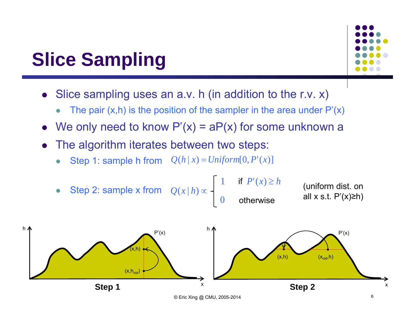

- Slice sampling uses an a.v. h (in addition to the r.v. x)
	- $\bullet$ The pair  $(x,h)$  is the position of the sampler in the area under  $P'(x)$
- $\bullet$ We only need to know  $P'(x) = aP(x)$  for some unknown a
- $\bullet$  The algorithm iterates between two steps:
	- $\bullet$ • Step 1: sample h from  $Q(h|x) = Uniform[0, P'(x)]$

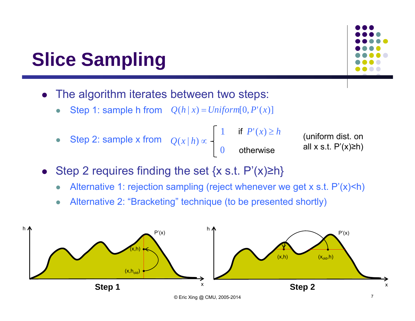- $\bullet$  The algorithm iterates between two steps:
	- $\bullet$ • Step 1: sample h from  $Q(h|x) = Uniform[0, P'(x)]$
	- $\bullet$ • Step 2: sample x from  $Q(x|h) \propto$

$$
\begin{cases}\n1 & \text{if } P'(x) \ge h \\
0 & \text{otherwise}\n\end{cases}
$$

(uniform dist. on all  $x$  s.t.  $P'(x) \geq h$ 

- $\bullet$ Step 2 requires finding the set  $\{x \text{ s.t. } P'(x) \ge h\}$ 
	- $\bullet$ Alternative 1: rejection sampling (reject whenever we get x s.t. P'(x)<h)
	- $\bullet$ Alternative 2: "Bracketing" technique (to be presented shortly)

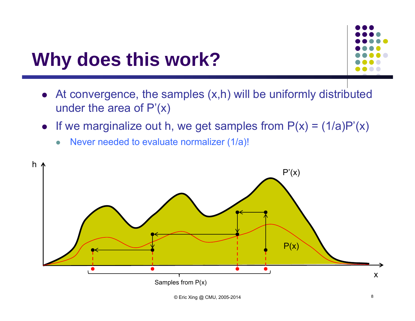#### **Why does this work?**

- At convergence, the samples (x,h) will be uniformly distributed under the area of  $P'(x)$
- $\bullet$ If we marginalize out h, we get samples from  $P(x) = (1/a)P'(x)$ 
	- $\bullet$ Never needed to evaluate normalizer (1/a)!

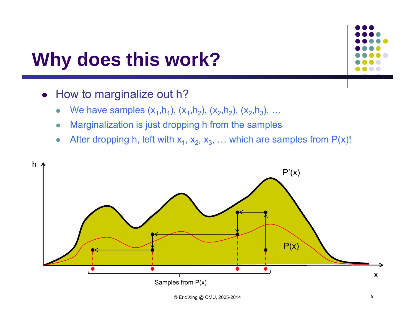#### **Why does this work?**

- How to marginalize out h?
	- $\bullet$ • We have samples  $(x_1,h_1)$ ,  $(x_1,h_2)$ ,  $(x_2,h_2)$ ,  $(x_2,h_3)$ , ...
	- $\bullet$ Marginalization is just dropping h from the samples
	- $\bullet$ • After dropping h, left with  $x_1, x_2, x_3, \ldots$  which are samples from  $P(x)!$

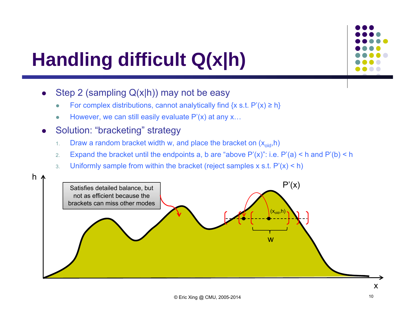

## **Handling difficult Q(x|h)**

- 0 Step 2 (sampling Q(x|h)) may not be easy
	- 0 • For complex distributions, cannot analytically find  $\{x \text{ s.t. } P'(x) \geq h\}$
	- 0 However, we can still easily evaluate P'(x) at any x...

#### $\bullet$ Solution: "bracketing" strategy

- 1.Draw a random bracket width w, and place the bracket on  $(x<sub>old</sub>,h)$
- 2.Expand the bracket until the endpoints a, b are "above  $P'(x)$ ": i.e.  $P'(a) < h$  and  $P'(b) < h$
- 3.Uniformly sample from within the bracket (reject samples x s.t.  $P'(x) < h$ )

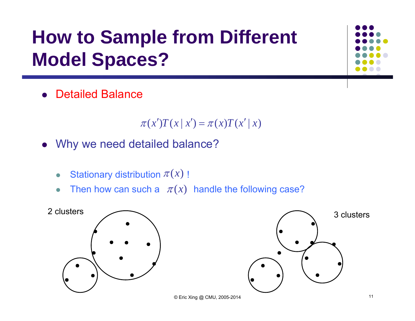## **How to Sample from Different Model Spaces?**

• Detailed Balance

 $\pi(x')T(x | x') = \pi(x)T(x' | x)$ 

- Why we need detailed balance?
	- $\bullet$ • Stationary distribution  $\pi(x)$  !
	- $\bullet$ • Then how can such a  $\pi(x)$  handle the following case?

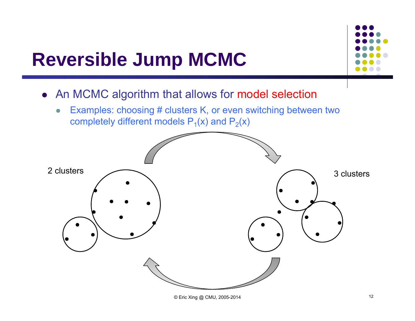#### **Reversible Jump MCMC**



- An MCMC algorithm that allows for model selection
	- $\bullet$  Examples: choosing # clusters K, or even switching between two completely different models  $\mathsf{P}_\mathsf{1}(\mathsf{x})$  and  $\mathsf{P}_\mathsf{2}(\mathsf{x})$

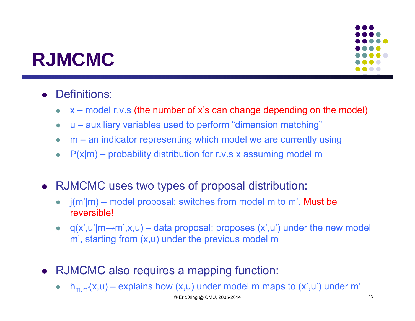#### **RJMCMC**



#### **•** Definitions:

- $\bullet$ x – model r.v.s (the number of x's can change depending on the model)
- $\bullet$ u – auxiliary variables used to perform "dimension matching"
- $\bullet$ m – an indicator representing which model we are currently using
- $\bullet$  $P(x|m)$  – probability distribution for r.v.s x assuming model m
- RJMCMC uses two types of proposal distribution:
	- $\bullet$  j(m'|m) – model proposal; switches from model m to m'. Must be reversible!
	- $\bullet$  $q(x', u'|m \rightarrow m', x, u)$  – data proposal; proposes  $(x', u')$  under the new model <sup>m</sup>', starting from (x,u) under the previous model m
- RJMCMC also requires a mapping function:
	- $h_{m,m'}(x,u)$  explains how  $(x,u)$  under model m maps to  $(x',u')$  under m'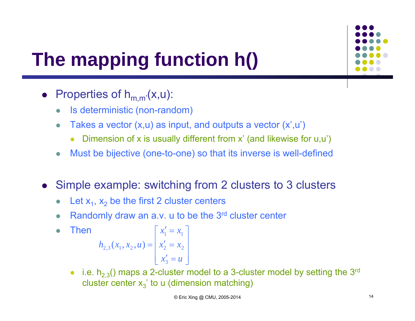

# **The mapping function h()**

• Properties of  $h_{m,m'}(x,u)$ :

 $\bullet$ 

- $\bullet$ Is deterministic (non-random)
- $\bullet$ Takes a vector  $(x, u)$  as input, and outputs a vector  $(x', u')$ 
	- $\bullet$ Dimension of x is usually different from x' (and likewise for u,u')
- $\bullet$ Must be bijective (one-to-one) so that its inverse is well-defined
- Simple example: switching from 2 clusters to 3 clusters
	- $\bullet$ • Let  $x_1$ ,  $x_2$  be the first 2 cluster centers
	- $\bullet$ Randomly draw an a.v. u to be the 3<sup>rd</sup> cluster center

Then  
\n
$$
h_{2,3}(x_1, x_2, u) = \begin{bmatrix} x'_1 = x_1 \\ x'_2 = x_2 \\ x'_3 = u \end{bmatrix}
$$

• i.e.  $h_{2,3}$ () maps a 2-cluster model to a 3-cluster model by setting the 3<sup>rd</sup> cluster center  $\mathsf{x}_3^{\cdot}$  to u (dimension matching)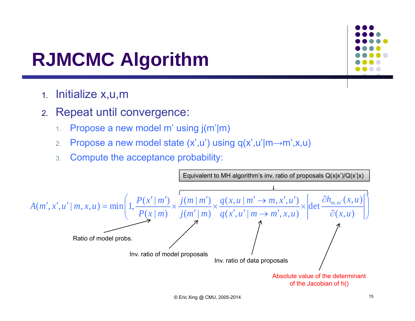#### **RJMCMC Algorithm**

- 1.Initialize x,u,m
- 2. Repeat until convergence:
	- 1.Propose a new model m' using j(m'|m)
	- 2.Propose a new model state (x',u') using q(x',u'|m <sup>→</sup><sup>m</sup>',x,u)
	- 3.Compute the acceptance probability:

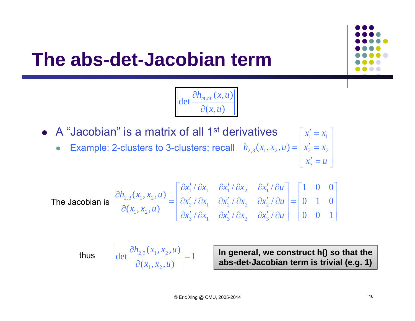

#### **The abs-det-Jacobian term**



• A "Jacobian" is a matrix of all 1<sup>st</sup> derivatives  $\bullet$  Example: 2-clusters to 3-clusters; recall  $\overline{\phantom{a}}$  $\overline{\phantom{a}}$  $\overline{\phantom{a}}$  $\lfloor x'_3 = u \rfloor$  $\lceil x'_1 = x_1 \rceil$  $= | x_2' =$  $x_i = u$  $h_{2,3}(x_1, x_2, u) = |x'_2 = x$ 3 $x_{2,3}(x_1, x_2, u) = |x'_2 = x_2$ 

The Jacobian is 
$$
\frac{\partial h_{2,3}(x_1, x_2, u)}{\partial(x_1, x_2, u)} = \begin{bmatrix} \frac{\partial x'_1}{\partial x_1} & \frac{\partial x'_1}{\partial x_2} & \frac{\partial x'_1}{\partial u_2} \\ \frac{\partial x'_2}{\partial x_3} & \frac{\partial x'_2}{\partial x_1} & \frac{\partial x'_2}{\partial x_2} & \frac{\partial x'_2}{\partial u_2} \end{bmatrix} = \begin{bmatrix} 1 & 0 & 0 \\ 0 & 1 & 0 \\ 0 & 0 & 1 \end{bmatrix}
$$

thus 
$$
\left| \det \frac{\partial h_{2,3}(x_1, x_2, u)}{\partial (x_1, x_2, u)} \right| = 1
$$

 **In general, we construct h() so that the abs-det-Jacobian term is trivial (e.g. 1)**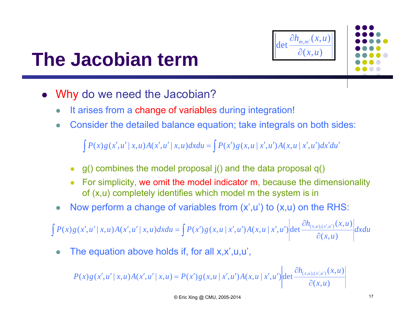



#### **The Jacobian term**

- $\bullet$  Why do we need the Jacobian?
	- $\bullet$ It arises from a change of variables during integration!
	- $\bullet$ Consider the detailed balance equation; take integrals on both sides:

 $\int P(x)g(x',u' | x,u)A(x',u' | x,u)dxdu = \int P(x')g(x,u | x',u')A(x,u | x',u')dx'du'$ 

- $\bullet$ g() combines the model proposal j() and the data proposal q()
- 0 For simplicity, we omit the model indicator m, because the dimensionality of (x,u) completely identifies which model m the system is in
- $\bullet$ Now perform a change of variables from  $(x',u')$  to  $(x,u)$  on the RHS:

 $\int P(x)g(x',u' | x,u)A(x',u' | x,u)dxdu = \int P(x')g(x,u | x',u')A(x,u | x',u')\left|\det \frac{\partial h(x,u)}{\partial x'}\right|$  $d'$ ,  $u'|x, u)A(x', u'|x, u)dxdu = \int P(x')g(x, u|x', u')A(x, u|x', u')\Big|det \frac{\partial h_{(x, u), (x', u')}}{\partial x}dxdu$ *x u*  $P(x)g(x',u' | x,u)A(x',u' | x,u)dxdu = \int P(x')g(x,u | x',u')A(x,u | x',u')\Big|det \frac{\partial h(x,u)(x',u')}{\partial x(x',u')}dx$  $(x, u)$  $(x) g(x', u' | x, u) A(x', u' | x, u) dx du = \int P(x') g(x, u | x', u') A(x, u | x', u') det \frac{\partial h_{(x, u), (x', u')}}{\partial x}$ 

 $\bullet$ The equation above holds if, for all x,x',u,u',

$$
P(x)g(x',u' | x,u)A(x',u' | x,u) = P(x')g(x,u | x',u')A(x,u | x',u')\left|\det \frac{\partial h_{(x,u),(x',u')}}{\partial(x,u)}\right|
$$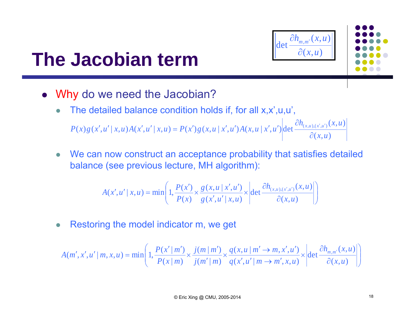

 $(x, u)$  $(x) g(x', u' | x, u) A(x', u' | x, u) = P(x') g(x, u | x', u') A(x, u | x', u')$  det  $\frac{\partial h_{(x, u), (x', u')}(x, u)}{\partial(x, u)}$ *x u*  $P(x)g(x',u' | x,u)A(x',u' | x,u) = P(x')g(x,u | x',u')A(x,u | x',u')$  det  $\frac{\partial h_{(x,u),(x',u')}(x,u' | x',u')}{\partial x_{(x,u),(x',u')}}$  $\partial$ ', u' | x, u)  $A(x', u' | x, u) = P(x') g(x, u | x', u') A(x, u | x', u')$  det  $\frac{\partial h_{(x, u), (x', u')}}{\partial x}$ 

 $\bullet$  We can now construct an acceptance probability that satisfies detailed balance (see previous lecture, MH algorithm):

$$
A(x', u' | x, u) = \min\left(1, \frac{P(x')}{P(x)} \times \frac{g(x, u | x', u')}{g(x', u' | x, u)} \times \left| \det \frac{\partial h_{(x, u), (x', u')}}{\partial(x, u)}(x, u) \right| \right)
$$

 $\bullet$ Restoring the model indicator m, we get

 $\bullet$ 

$$
A(m',x',u' \mid m,x,u) = \min\left(1,\frac{P(x' \mid m')}{P(x \mid m)} \times \frac{j(m \mid m')}{j(m' \mid m)} \times \frac{q(x,u \mid m' \to m,x',u')}{q(x',u' \mid m \to m',x,u)} \times \left| \det \frac{\partial h_{m,m'}(x,u)}{\partial(x,u)} \right| \right)
$$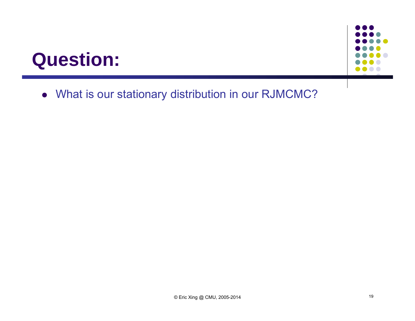#### **Question:**



What is our stationary distribution in our RJMCMC?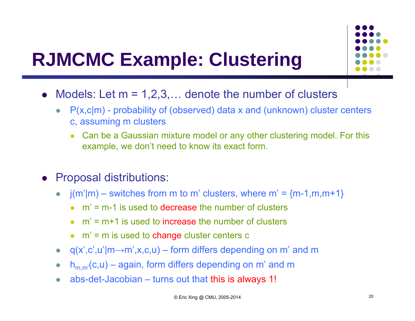

- Models: Let  $m = 1, 2, 3, \ldots$  denote the number of clusters
	- $\bullet$  P(x,c|m) - probability of (observed) data x and (unknown) cluster centers c, assuming m clusters
		- $\bullet$  Can be a Gaussian mixture model or any other clustering model. For this example, we don't need to know its exact form.
	- Proposal distributions:
		- $\bullet$  $j(m'|m)$  – switches from m to m' clusters, where m' =  ${m-1,m,m+1}$ 
			- 0 m' = m-1 is used to decrease the number of clusters
			- $\bullet$  m' = m+1 is used to increase the number of clusters
			- $\bullet$   $m'$  = m is used to change cluster centers c
		- $\bullet$  q(x',c',u'|m $\rightarrow$ m',x,c,u) form differs depending on m' and m
		- $\bullet$  $h_{m,m'}(c,u)$  – again, form differs depending on m' and m
		- $\bullet$ abs-det-Jacobian – turns out that this is always 1!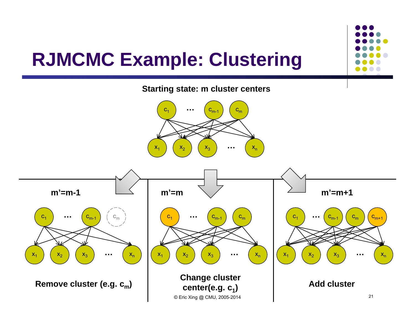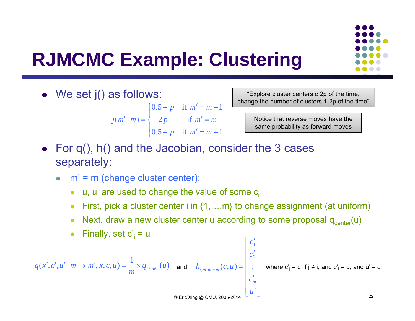

We set j() as follows:

 $\overline{\phantom{a}}$  $\overline{\mathcal{L}}$  $\overline{\phantom{a}}$ ⇃  $\int$  $-p$  if  $m'=m+$  $' =$  $-p$  if  $m'=m ^{\prime}\mid m)$  =  $0.5 - p$  if  $m' = m + 1$  $2p$  if  $0.5 - p$  if  $m' = m - 1$  $(m' | m)$ *p* if  $m = m$ *p m* = *m p* if  $m = m$ *j m m*

"Explore cluster centers c 2p of the time, change the number of clusters 1-2p of the time"

> Notice that reverse moves have the same probability as forward moves

- For q(), h() and the Jacobian, consider the 3 cases separately:
	- m' = m (change cluster center):
		- u, u' are used to change the value of some  $c_i$
		- First, pick a cluster center i in {1,…,m} to change assignment (at uniform)

 $v_{=m}(C, u) =$ 

 $\begin{bmatrix} \ddots \ddots \ddots \ddots \end{bmatrix}$   $m,m'=m$   $(c,u)$   $=$   $\begin{bmatrix} 1 & \vdots & \vdots \end{bmatrix}$ 

- 0 Next, draw a new cluster center u according to some proposal  $q_{center}(u)$
- Finally, set  $c_i$  = u

$$
q(x',c',u' \mid m \rightarrow m',x,c,u) = \frac{1}{m} \times q_{center}(u)
$$

and  $\quad h_{i, m, m' = m}(c, u) = \left| \begin{array}{c} \vdots \end{array} \right| \quad$  where  ${\bf c'}_{\sf j} = {\bf c}_{\sf j}$  if  ${\sf j} \neq {\sf i},$  and  ${\bf c'}_{\sf i} = {\bf u},$  and  ${\bf u'} = {\bf c}_{\sf i}$ 

 $h_{\sum_{m,m'=m}}(c,u)$ 

 $\overline{\phantom{a}}$  $\overline{\phantom{a}}$  $\overline{\phantom{a}}$  $\overline{\phantom{a}}$  $\overline{\phantom{a}}$  $\overline{\phantom{a}}$ 

1

Г

 $\overline{\phantom{a}}$ 

 $\overline{\phantom{a}}$ 

*u*

 $\overline{\phantom{a}}$ 

*m*

*c*

 $\frac{1}{2}$ 

2

*c*

*c*

!<br>1

1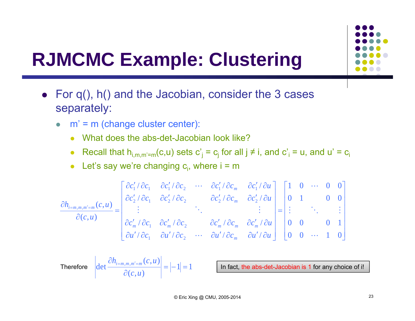

- For q(), h() and the Jacobian, consider the 3 cases separately:
	- $\bullet$  <sup>m</sup>' = m (change cluster center):
		- What does the abs-det-Jacobian look like?
		- $\bullet$ ● Recall that h<sub>i,m,m'=m</sub>(c,u) sets  $c'_j = c_j$  for all j ≠ i, and  $c'_i = u$ , and  $u' = c_i$
		- Let's say we're changing  $c_i$ , where  $i = m$

$$
\frac{\partial h_{i=m,m,m'=m}(c,u)}{\partial(c,u)} = \begin{bmatrix}\n\frac{\partial c'_1}{\partial c_1} & \frac{\partial c'_1}{\partial c_2} & \cdots & \frac{\partial c'_1}{\partial c_m} & \frac{\partial c'_1}{\partial c_m} \\
\vdots & & \ddots & \vdots \\
\frac{\partial c'_m}{\partial c_1} & \frac{\partial c'_m}{\partial c_2} & \cdots & \frac{\partial c'_m}{\partial c_m} & \frac{\partial c'_m}{\partial c_m} & \frac{\partial c'_m}{\partial u} \\
\vdots & & \ddots & \vdots \\
\frac{\partial c'_m}{\partial u'} & \frac{\partial c'_m}{\partial c_1} & \frac{\partial c'_m}{\partial c_2} & \cdots & \frac{\partial c'_m}{\partial u'} & \frac{\partial c'_m}{\partial u} & \frac{\partial c'_m}{\partial u} \\
\vdots & & \ddots & \vdots \\
\frac{\partial u'}{\partial u} & \frac{\partial u'}{\partial c_1} & \frac{\partial u'}{\partial c_2} & \cdots & \frac{\partial u'}{\partial c_m} & \frac{\partial u'}{\partial u}\n\end{bmatrix} = \begin{bmatrix}\n1 & 0 & \cdots & 0 & 0 \\
0 & 1 & & 0 & 0 \\
\vdots & & \ddots & & \vdots \\
0 & 0 & & 0 & 1 \\
0 & 0 & \cdots & 1 & 0\n\end{bmatrix}
$$

Therefore 
$$
\left| \det \frac{\partial h_{i=m,m,m'=m}(c,u)}{\partial(c,u)} \right| = |-1| = 1
$$

In fact, the abs-det-Jacobian is 1 for any choice of i!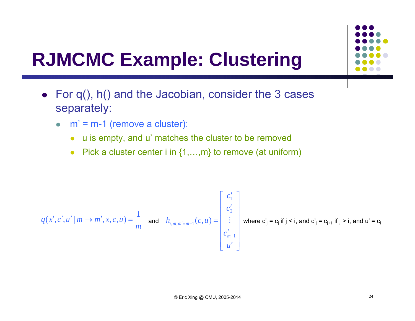

- For q(), h() and the Jacobian, consider the 3 cases separately:
	- $\bullet$   $m' = m-1$  (remove a cluster):
		- $\bullet$ u is empty, and u' matches the cluster to be removed
		- Pick a cluster center i in  $\{1,...,m\}$  to remove (at uniform)

$$
q(x',c',u' \mid m \rightarrow m',x,c,u) = \frac{1}{m} \text{ and } h_{i,m,m'=m-1}(c,u) = \begin{bmatrix} c'_1 \\ c'_2 \\ \vdots \\ c'_{m-1} \\ u' \end{bmatrix} \text{ where } c'_j = c_j \text{ if } j < i, \text{ and } c'_j = c_{j+1} \text{ if } j > i, \text{ and } u' = c_j
$$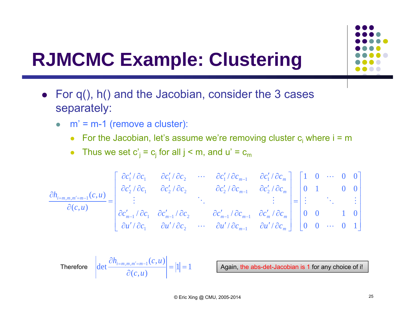

- For q(), h() and the Jacobian, consider the 3 cases separately:
	- $\bullet$   $m' = m-1$  (remove a cluster):
		- For the Jacobian, let's assume we're removing cluster  $c_i$  where  $i = m$
		- $\bullet$ • Thus we set  $c'_j = c_j$  for all  $j < m$ , and  $u' = c_m$

$$
\frac{\partial h_{i=m,m,m'=m-1}(c,u)}{\partial(c,u)} = \begin{bmatrix}\n\frac{\partial c'_1}{\partial c_1} & \frac{\partial c'_1}{\partial c_2} & \cdots & \frac{\partial c'_1}{\partial c_{m-1}} & \frac{\partial c'_1}{\partial c_m} \\
\frac{\partial c'_2}{\partial c_1} & \frac{\partial c'_2}{\partial c_2} & \frac{\partial c'_2}{\partial c_{m-1}} & \frac{\partial c'_2}{\partial c_m} \\
\vdots & \vdots & \ddots & \vdots \\
\frac{\partial c'_{m-1}}{\partial u'} \frac{\partial c_1}{\partial c_1} & \frac{\partial c'_{m-1}}{\partial c_2} & \cdots & \frac{\partial c'_{m-1}}{\partial u'} \frac{\partial c_m}{\partial c_{m-1}} & \frac{\partial c'_m}{\partial c_m}\n\end{bmatrix} = \begin{bmatrix}\n1 & 0 & \cdots & 0 & 0 \\
0 & 1 & & 0 & 0 \\
\vdots & \vdots & \ddots & \vdots \\
0 & 0 & & 1 & 0 \\
0 & 0 & \cdots & 0 & 1\n\end{bmatrix}
$$

Therefore 
$$
\left| \det \frac{\partial h_{i=m,m,m'=m-1}(c,u)}{\partial(c,u)} \right| = |1| = 1
$$

Again, the abs-det-Jacobian is 1 for any choice of i!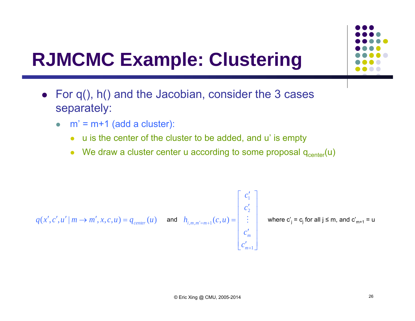

- For q(), h() and the Jacobian, consider the 3 cases separately:
	- $\bullet$   $m' = m + 1$  (add a cluster):
		- u is the center of the cluster to be added, and u' is empty
		- We draw a cluster center u according to some proposal  $q_{center}(u)$

$$
q(x', c', u' \mid m \to m', x, c, u) = q_{center}(u) \quad \text{and} \quad h_{i, m, m' = m+1}(c, u) = \begin{bmatrix} c'_1 \\ c'_2 \\ \vdots \\ c'_m \\ c'_{m+1} \end{bmatrix} \quad \text{where } c'_j = c_j \text{ for all } j \leq m, \text{ and } c'_{m+1} = u
$$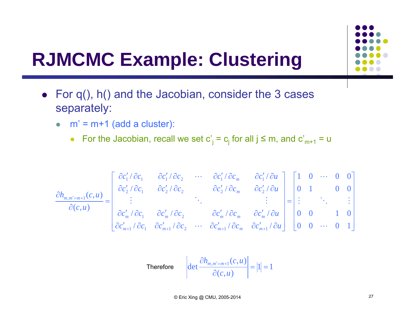

- For q(), h() and the Jacobian, consider the 3 cases separately:
	- $\bullet$   $m' = m + 1$  (add a cluster):
		- For the Jacobian, recall we set  $c'_j = c_j$  for all  $j \le m$ , and  $c'_{m+1} = u$

$$
\frac{\partial h_{m,m'=m+1}(c,u)}{\partial(c,u)} = \begin{bmatrix}\n\frac{\partial c'_1}{\partial c_1} & \frac{\partial c'_1}{\partial c_2} & \cdots & \frac{\partial c'_1}{\partial c_m} & \frac{\partial c'_1}{\partial c_m} \\
\vdots & & \ddots & & \vdots \\
\frac{\partial c'_m}{\partial c'_m} & \frac{\partial c'_m}{\partial c_1} & \frac{\partial c'_m}{\partial c_2} & \cdots & \frac{\partial c'_m}{\partial c_m} & \frac{\partial c'_m}{\partial c_m} & \frac{\partial c'_m}{\partial u} \\
\vdots & & \ddots & & \vdots \\
\frac{\partial c'_m}{\partial c'_{m+1}} & \frac{\partial c'_m}{\partial c_1} & \frac{\partial c'_m}{\partial c_2} & \cdots & \frac{\partial c'_m}{\partial c'_m} & \frac{\partial c'_m}{\partial c_m} & \frac{\partial c'_{m+1}}{\partial u}\n\end{bmatrix} = \begin{bmatrix}\n1 & 0 & \cdots & 0 & 0 \\
0 & 1 & & 0 & 0 \\
\vdots & & \ddots & & \vdots \\
0 & 0 & & 1 & 0 \\
0 & 0 & \cdots & 0 & 1\n\end{bmatrix}
$$

Therefore 
$$
\det \frac{\partial h_{m,m'=m+1}(c,u)}{\partial(c,u)} = |1| = 1
$$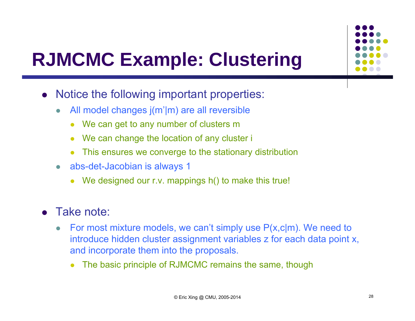

- $\bullet$  Notice the following important properties:
	- $\bullet$ All model changes  $j(m'|m)$  are all reversible
		- $\bullet$ We can get to any number of clusters m
		- $\bullet$ We can change the location of any cluster i
		- 0 This ensures we converge to the stationary distribution
	- $\bullet$  abs-det-Jacobian is always 1
		- 0 We designed our r.v. mappings h() to make this true!

#### $\bullet$ Take note:

- $\bullet$  For most mixture models, we can't simply use P(x,c|m). We need to introduce hidden cluster assignment variables z for each data point x, and incorporate them into the proposals.
	- 0 The basic principle of RJMCMC remains the same, though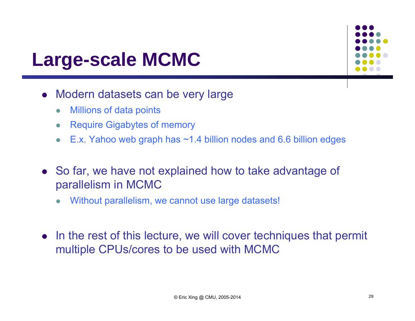#### **Large-scale MCMC**

- Modern datasets can be very large
	- $\bullet$ Millions of data points
	- $\bullet$ Require Gigabytes of memory
	- $\bullet$ E.x. Yahoo web graph has ~1.4 billion nodes and 6.6 billion edges
- So far, we have not explained how to take advantage of parallelism in MCMC
	- $\bullet$ Without parallelism, we cannot use large datasets!
- In the rest of this lecture, we will cover techniques that permit multiple CPUs/cores to be used with MCMC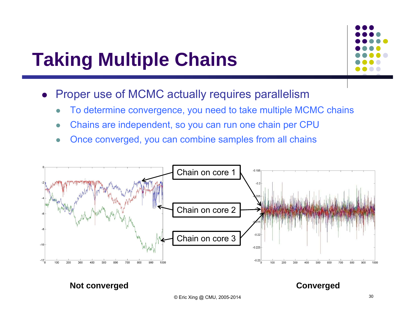#### **Taking Multiple Chains**



- $\bullet$  Proper use of MCMC actually requires parallelism
	- $\bullet$ To determine convergence, you need to take multiple MCMC chains
	- $\bullet$ Chains are independent, so you can run one chain per CPU
	- $\bullet$ Once converged, you can combine samples from all chains

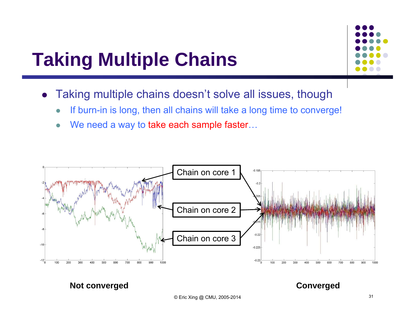#### **Taking Multiple Chains**

- $\bullet$  Taking multiple chains doesn't solve all issues, though
	- $\bullet$ If burn-in is long, then all chains will take a long time to converge!
	- $\bullet$ • We need a way to take each sample faster...

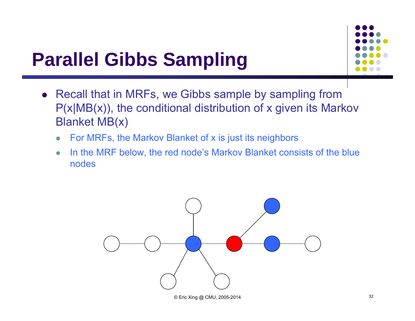

- Recall that in MRFs, we Gibbs sample by sampling from P(x|MB(x)), the conditional distribution of x given its Markov Blanket MB(x)
	- $\bullet$ For MRFs, the Markov Blanket of x is just its neighbors
	- $\bullet$  In the MRF below, the red node's Markov Blanket consists of the blue nodes

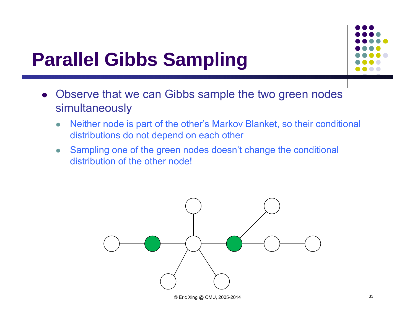

- Observe that we can Gibbs sample the two green nodes simultaneously
	- $\bullet$  Neither node is part of the other's Markov Blanket, so their conditional distributions do not depend on each other
	- $\bullet$  Sampling one of the green nodes doesn't change the conditional distribution of the other node!

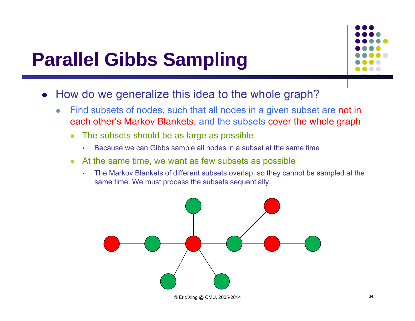- $\bullet$  How do we generalize this idea to the whole graph?
	- $\bullet$  Find subsets of nodes, such that all nodes in a given subset are not in each other's Markov Blankets, and the subsets cover the whole graph
		- $\bullet$  The subsets should be as large as possible
			- п Because we can Gibbs sample all nodes in a subset at the same time
		- $\bullet$  At the same time, we want as few subsets as possible
			- $\mathbf{r}$  The Markov Blankets of different subsets overlap, so they cannot be sampled at the same time. We must process the subsets sequentially.

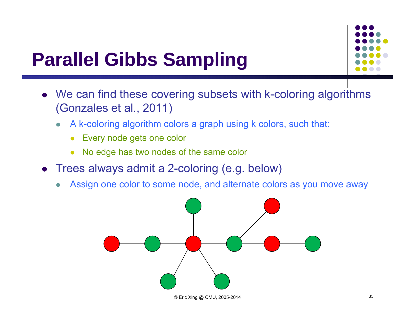

- We can find these covering subsets with k-coloring algorithms (Gonzales et al., 2011)
	- $\bullet$  A k-coloring algorithm colors a graph using k colors, such that:
		- $\bullet$ Every node gets one color
		- 0 No edge has two nodes of the same color
- Trees always admit a 2-coloring (e.g. below)
	- 0 Assign one color to some node, and alternate colors as you move away

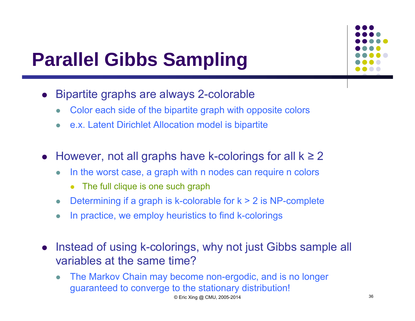- $\bullet$  Bipartite graphs are always 2-colorable
	- $\bullet$ Color each side of the bipartite graph with opposite colors
	- $\bullet$ e.x. Latent Dirichlet Allocation model is bipartite
- However, not all graphs have k-colorings for all k ≥ 2
	- $\bullet$  In the worst case, a graph with n nodes can require n colors
		- 0 The full clique is one such graph
	- $\bullet$ Determining if a graph is k-colorable for  $k > 2$  is NP-complete
	- $\bullet$ In practice, we employ heuristics to find k-colorings
- $\bullet$  Instead of using k-colorings, why not just Gibbs sample all variables at the same time?
	- $\bullet$  The Markov Chain may become non-ergodic, and is no longer guaranteed to converge to the stationary distribution!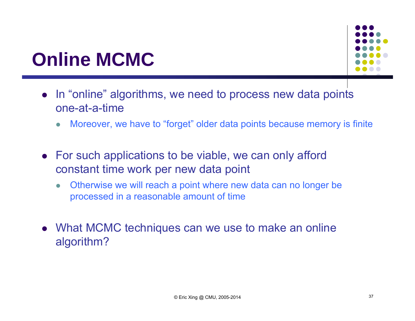#### **Online MCMC**

- In "online" algorithms, we need to process new data points one-at-a-time
	- $\bullet$ Moreover, we have to "forget" older data points because memory is finite
- For such applications to be viable, we can only afford constant time work per new data point
	- $\bullet$  Otherwise we will reach a point where new data can no longer be processed in a reasonable amount of time
- What MCMC techniques can we use to make an online algorithm?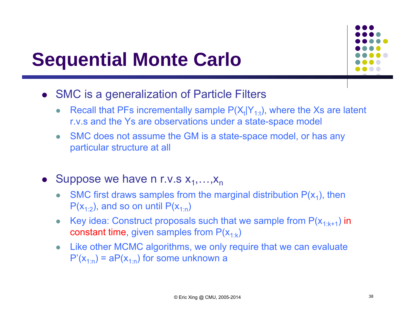# **Sequential Monte Carlo**



- SMC is a generalization of Particle Filters
	- $\bullet$ Recall that PFs incrementally sample  $P(X_t|Y_{1:t})$ , where the Xs are latent r.v.s and the Ys are observations under a state-space model
	- $\bullet$  SMC does not assume the GM is a state-space model, or has any particular structure at all
- Suppose we have n r.v.s  $x_1, \ldots, x_n$ 
	- 0 SMC first draws samples from the marginal distribution  $P(x_1)$ , then  $P(x_{1:2})$ , and so on until  $P(x_{1:2})$
	- $\bullet$ Key idea: Construct proposals such that we sample from  $P(x_{1:k+1})$  in constant time, given samples from  $P(x_{1:k})$
	- $\bullet$  Like other MCMC algorithms, we only require that we can evaluate  $P'(x_{1:n}) = aP(x_{1:n})$  for some unknown a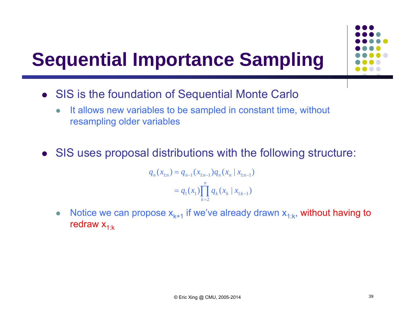

- SIS is the foundation of Sequential Monte Carlo
	- $\bullet$ It allows new variables to be sampled in constant time, without resampling older variables
- SIS uses proposal distributions with the following structure:

$$
q_n(x_{1:n}) = q_{n-1}(x_{1:n-1})q_n(x_n \mid x_{1:n-1})
$$
  
=  $q_1(x_1) \prod_{k=2}^n q_k(x_k \mid x_{1:k-1})$ 

 $\bullet$ • Notice we can propose  $x_{k+1}$  if we've already drawn  $x_{1:k}$ , without having to redraw  $x_{1:k}$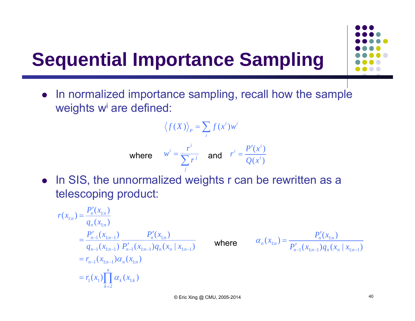$\bullet$  In normalized importance sampling, recall how the sample weights w<sup>i</sup> are defined:

$$
\langle f(X) \rangle_p = \sum_i f(x^i) w^i
$$
  
\nwhere  $w^i = \frac{r^i}{\sum_j r^j}$  and  $r^i = \frac{P'(x^i)}{Q(x^i)}$ 

• In SIS, the unnormalized weights r can be rewritten as a telescoping product:

$$
r(x_{1:n}) = \frac{P'_n(x_{1:n})}{q_n(x_{1:n})}
$$
  
=  $\frac{P'_{n-1}(x_{1:n-1})}{q_{n-1}(x_{1:n-1})} \frac{P'_n(x_{1:n})}{P'_{n-1}(x_{1:n-1})q_n(x_n | x_{1:n-1})}$   
=  $r_{n-1}(x_{1:n-1})\alpha_n(x_{1:n})$   
=  $r_1(x_1)\prod_{k=2}^n \alpha_k(x_{1:k})$ 

where

$$
\alpha_n(x_{1:n}) = \frac{P'_n(x_{1:n})}{P'_{n-1}(x_{1:n-1})q_n(x_n \mid x_{1:n-1})}
$$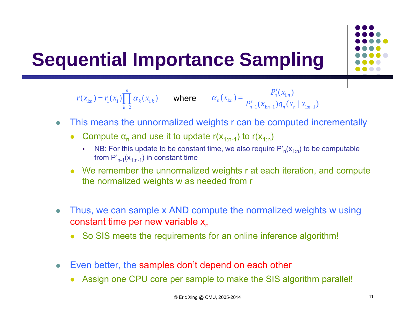

$$
r(x_{1:n}) = r_1(x_1) \prod_{k=2}^n \alpha_k(x_{1:k}) \qquad \text{where} \qquad \alpha_n(x_{1:n}) = \frac{P'_n(x_{1:n})}{P'_{n-1}(x_{1:n-1})q_n(x_n \mid x_{1:n-1})}
$$

- $\bullet$  This means the unnormalized weights r can be computed incrementally
	- 0 • Compute  $\alpha_n$  and use it to update r( $x_{1:n-1}$ ) to r( $x_{1:n}$ )
		- $\mathbf{r}$ NB: For this update to be constant time, we also require  $P'_n(x_{1:n})$  to be computable from  $P'_{n-1}(x_{1:n-1})$  in constant time
	- We remember the unnormalized weights r at each iteration, and compute the normalized weights w as needed from r
- $\bullet$  Thus, we can sample x AND compute the normalized weights w using constant time per new variable x<sub>n</sub>
	- 0 So SIS meets the requirements for an online inference algorithm!
- $\bullet$  Even better, the samples don't depend on each other
	- $\bullet$ Assign one CPU core per sample to make the SIS algorithm parallel!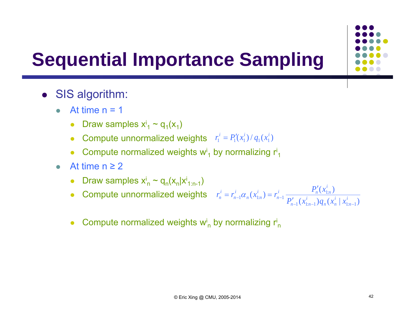

- SIS algorithm:
	- $\bullet$ At time  $n = 1$ 
		- Draw samples  $x_1^i \sim q_1(x_1)$
		- Compute unnormalized weights  $r_1' = P_1'(x_1')/q_1(x_1')$  $r_1^i = P_1'(x_1^i) / q_1(x_1^i)$
		- 0 • Compute normalized weights  $w_1$  by normalizing  $r_1$
	- $\bullet$ • At time  $n \geq 2$ 
		- Draw samples  $x_n^i \sim q_n(x_n|x_{1:n-1})$
		- Compute unnormalized weights
- $(x'_{n-1}) q_{n} ( x'_{n} | x'_{n-1})$  $(x_{1:n}^i) = r_{n-1}^i \frac{P'_n(x_{1:n}^i)}{P'_n(x_{1:n}^i)}$  $1 \vee \nu_{1:n-1}$  /  $\vee n \vee \nu_{n}$  |  $\nu_{1:n-1}$  $_1\alpha_n(x_{1:n}^i) = r_{n-1}^i \frac{r_n(x_{1:n})}{R}$ *nnn*  $\vee$  *n nn*-1  $\vee$  1:*n i*  $P'_n(x_{1:n}^i)$ *n*  $\alpha_{1:n}^i$  $\mathbf{r}_n^i = r_{n-1}^i \alpha_n(x_{1:n}^i) = r_{n-1}^i \frac{\mathbf{r}_n(x_{1:n})}{P'_{n-1}(x_{1:n-1}^i)q_n(x_n^i \mid x)}$  $r_n^i = r_{n-1}^i \alpha_n(x_{1:n}^i) = r_{n-1}^i \frac{P_n'(x_{1:n}^i)}{P_{n-1}'(x_{1:n-1}^i)q_n}$  $r_{n-1}^i \alpha_{n-1} (x_{1:n}^i) = r_{n-1}^i \frac{P_n^i}{\alpha_{n-1}^i}$
- 0 • Compute normalized weights  $w_n^i$  by normalizing  $r_n^i$

*i n*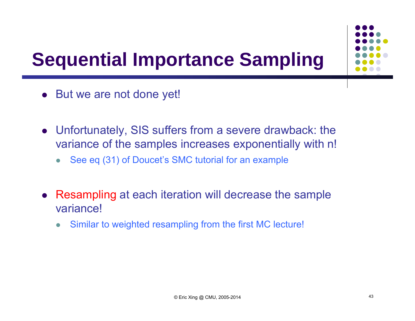

- But we are not done yet!
- Unfortunately, SIS suffers from a severe drawback: the variance of the samples increases exponentially with n!
	- $\bullet$ See eq (31) of Doucet's SMC tutorial for an example
- Resampling at each iteration will decrease the sample variance!
	- $\bullet$ Similar to weighted resampling from the first MC lecture!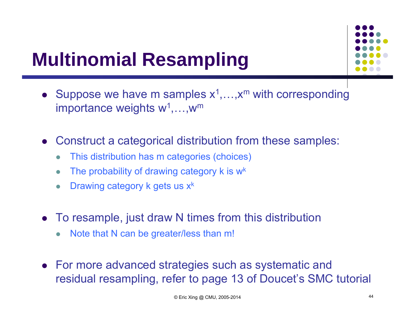### **Multinomial Resampling**

- Suppose we have m samples  $x^1,...,x^m$  with corresponding importance weights  $\mathsf{w}^{\mathsf{1}},...,\mathsf{w}^{\mathsf{m}}$
- Construct a categorical distribution from these samples:
	- $\bullet$ This distribution has m categories (choices)
	- $\bullet$ • The probability of drawing category  $k$  is  $w^k$
	- $\bullet$ • Drawing category k gets us  $x^k$
- To resample, just draw N times from this distribution
	- $\bullet$ Note that N can be greater/less than m!
- For more advanced strategies such as systematic and residual resampling, refer to page 13 of Doucet's SMC tutorial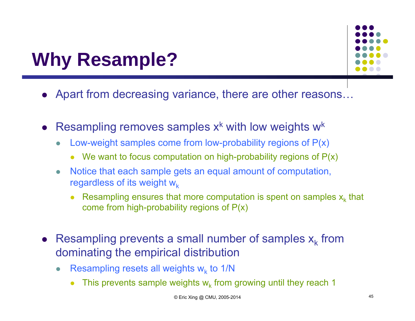### **Why Resample?**

- Apart from decreasing variance, there are other reasons…
- Resampling removes samples  $x^k$  with low weights  $w^k$ 
	- $\bullet$  Low-weight samples come from low-probability regions of P(x)
		- 0 We want to focus computation on high-probability regions of  $P(x)$
	- $\bullet$  Notice that each sample gets an equal amount of computation, regardless of its weight  $w_k$ 
		- **•** Resampling ensures that more computation is spent on samples  $x_k$  that come from high-probability regions of P(x)
- Resampling prevents a small number of samples  $x_k$  from dominating the empirical distribution
	- $\bullet$ • Resampling resets all weights  $w_k$  to 1/N
		- 0 • This prevents sample weights  $w_k$  from growing until they reach 1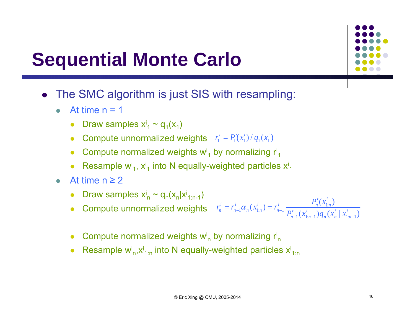#### **Sequential Monte Carlo**

- The SMC algorithm is just SIS with resampling:
	- $\bullet$ At time  $n = 1$ 
		- Draw samples  $x_1^i \sim q_1(x_1)$
		- Compute unnormalized weights  $r_1' = P_1'(x_1')/q_1(x_1')$  $r_1^i = P_1'(x_1^i) / q_1(x_1^i)$
		- Compute normalized weights  $w_1$  by normalizing  $r_1$
		- 0 • Resample w<sup>i</sup><sub>1</sub>,  $x^{i}$ <sub>1</sub> into N equally-weighted particles  $x^{i}$ <sub>1</sub>
	- $\bullet$ • At time  $n \geq 2$ 
		- Draw samples  $x_n^i \sim q_n(x_n|x_{1:n-1})$ n
		- Compute unnormalized weights  $(x'_{n-1}) q_{n} ( x'_{n} | x'_{n-1})$  $(x_{1:n}^i) = r_{n-1}^i \frac{P'_n(x_{1:n}^i)}{P'_n(x_{1:n}^i)}$  $1 \vee \nu_{1:n-1}$  /  $\vee n \vee \nu_{n}$  |  $\nu_{1:n-1}$  $\alpha_n(x_{1:n}^i) = r_{n-1}^i \frac{P_{n-1}(x_{1:n}^i)}{P_{n-1}'(x_{1:n-1}^i)q_n(x_n^i | x_{1:n}^i)}$  $\big(x_n^i\big)$ *i*<sub>*n*-1</sub>  $(x_{1:n}^i)$ *i*  $P'_n(x_{1:n}^i)$ *n*  $\alpha_{1:n}^i$ *i n*  $r_n^i = r_{n-1}^i \alpha_n(x_{1:n}^i) = r_{n-1}^i \frac{r_n(x_{1:n})}{P'_{n-1}(x_{1:n-1}^i)q_n(x_n^i \mid x)}$  $r_n^i = r_{n-1}^i \alpha_n(x_{1:n}^i) = r_{n-1}^i \frac{P_n'(x_{1:n}^i)}{P_n(x_{1:n}^i)}$  $-1 \times 1. n - 1 \times 1 n \times n \times 1. n \begin{array}{cc} \n-1 & n \leq 1:n \end{array}$   $\begin{array}{cc} \n-1 & P' \n\end{array}$  $r_{n-1}^i \alpha_{n-1} (x_{1:n}^i) = r_{n-1}^i \frac{P_n^i}{\alpha_{n-1}^i}$
		- $\bullet$ • Compute normalized weights  $w_n$  by normalizing  $r_n$
		- $\bullet$ • Resample  $w_{n}^{i}$ , $x_{1:n}^{i}$  into N equally-weighted particles  $x_{1:n}^{i}$